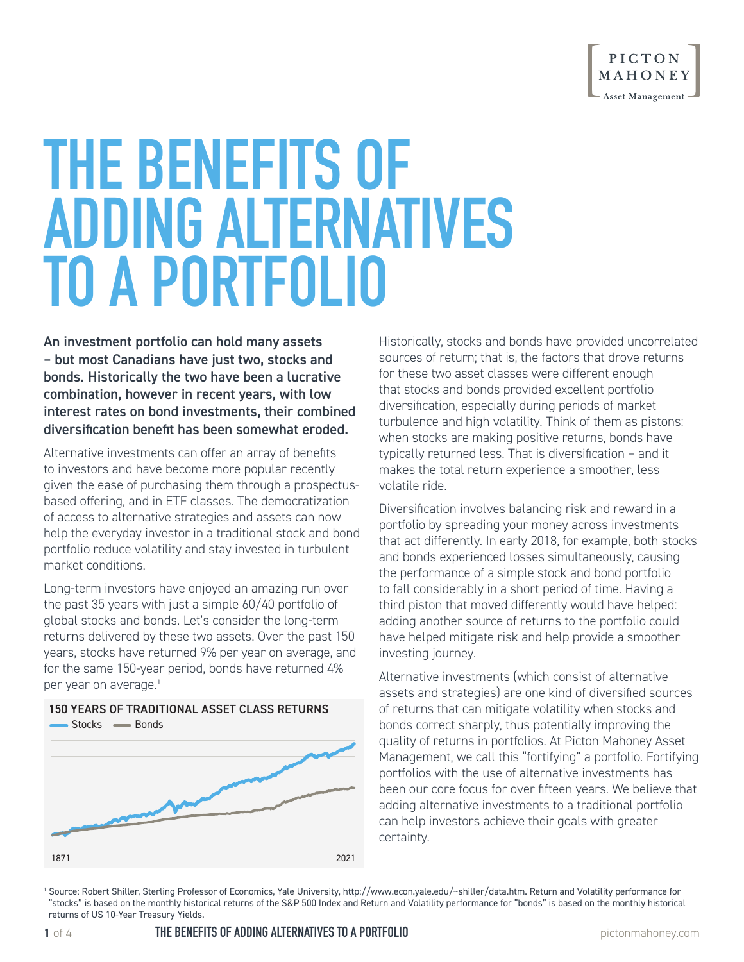

# **THE BENEFITS OF ADDING ALTERNATIVES TO A PORTFOLIO**

An investment portfolio can hold many assets – but most Canadians have just two, stocks and bonds. Historically the two have been a lucrative combination, however in recent years, with low interest rates on bond investments, their combined diversification benefit has been somewhat eroded.

Alternative investments can offer an array of benefits to investors and have become more popular recently given the ease of purchasing them through a prospectusbased offering, and in ETF classes. The democratization of access to alternative strategies and assets can now help the everyday investor in a traditional stock and bond portfolio reduce volatility and stay invested in turbulent market conditions.

Long-term investors have enjoyed an amazing run over the past 35 years with just a simple 60/40 portfolio of global stocks and bonds. Let's consider the long-term returns delivered by these two assets. Over the past 150 years, stocks have returned 9% per year on average, and for the same 150-year period, bonds have returned 4% per year on average.<sup>1</sup>



Historically, stocks and bonds have provided uncorrelated sources of return; that is, the factors that drove returns for these two asset classes were different enough that stocks and bonds provided excellent portfolio diversification, especially during periods of market turbulence and high volatility. Think of them as pistons: when stocks are making positive returns, bonds have typically returned less. That is diversification – and it makes the total return experience a smoother, less volatile ride.

Diversification involves balancing risk and reward in a portfolio by spreading your money across investments that act differently. In early 2018, for example, both stocks and bonds experienced losses simultaneously, causing the performance of a simple stock and bond portfolio to fall considerably in a short period of time. Having a third piston that moved differently would have helped: adding another source of returns to the portfolio could have helped mitigate risk and help provide a smoother investing journey.

Alternative investments (which consist of alternative assets and strategies) are one kind of diversified sources of returns that can mitigate volatility when stocks and bonds correct sharply, thus potentially improving the quality of returns in portfolios. At Picton Mahoney Asset Management, we call this "fortifying" a portfolio. Fortifying portfolios with the use of alternative investments has been our core focus for over fifteen years. We believe that adding alternative investments to a traditional portfolio can help investors achieve their goals with greater certainty.

1 Source: Robert Shiller, Sterling Professor of Economics, Yale University, http://www.econ.yale.edu/~shiller/data.htm. Return and Volatility performance for "stocks" is based on the monthly historical returns of the S&P 500 Index and Return and Volatility performance for "bonds" is based on the monthly historical returns of US 10-Year Treasury Yields.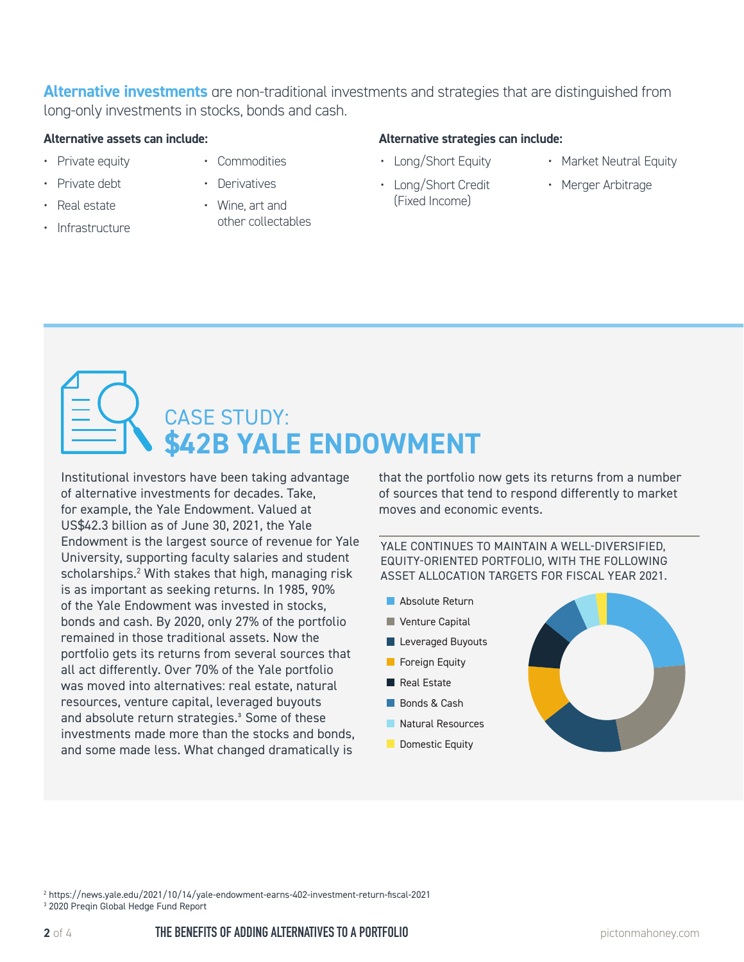**Alternative investments** are non-traditional investments and strategies that are distinguished from long-only investments in stocks, bonds and cash.

- Private equity
- Private debt
- Real estate
- Infrastructure
- Commodities
- Derivatives
- Wine, art and other collectables

### **Alternative assets can include: Alternative strategies can include:**

- Long/Short Equity
- Long/Short Credit (Fixed Income)
- Market Neutral Equity
- Merger Arbitrage

### CASE STUDY: **\$42B YALE ENDOWMENT**

Institutional investors have been taking advantage of alternative investments for decades. Take, for example, the Yale Endowment. Valued at US\$42.3 billion as of June 30, 2021, the Yale Endowment is the largest source of revenue for Yale University, supporting faculty salaries and student scholarships.<sup>2</sup> With stakes that high, managing risk is as important as seeking returns. In 1985, 90% of the Yale Endowment was invested in stocks, bonds and cash. By 2020, only 27% of the portfolio remained in those traditional assets. Now the portfolio gets its returns from several sources that all act differently. Over 70% of the Yale portfolio was moved into alternatives: real estate, natural resources, venture capital, leveraged buyouts and absolute return strategies.<sup>3</sup> Some of these investments made more than the stocks and bonds, and some made less. What changed dramatically is

that the portfolio now gets its returns from a number of sources that tend to respond differently to market moves and economic events.

YALE CONTINUES TO MAINTAIN A WELL-DIVERSIFIED. EQUITY-ORIENTED PORTFOLIO, WITH THE FOLLOWING ASSET ALLOCATION TARGETS FOR FISCAL YEAR 2021.



2 https://news.yale.edu/2021/10/14/yale-endowment-earns-402-investment-return-fiscal-2021 3 2020 Preqin Global Hedge Fund Report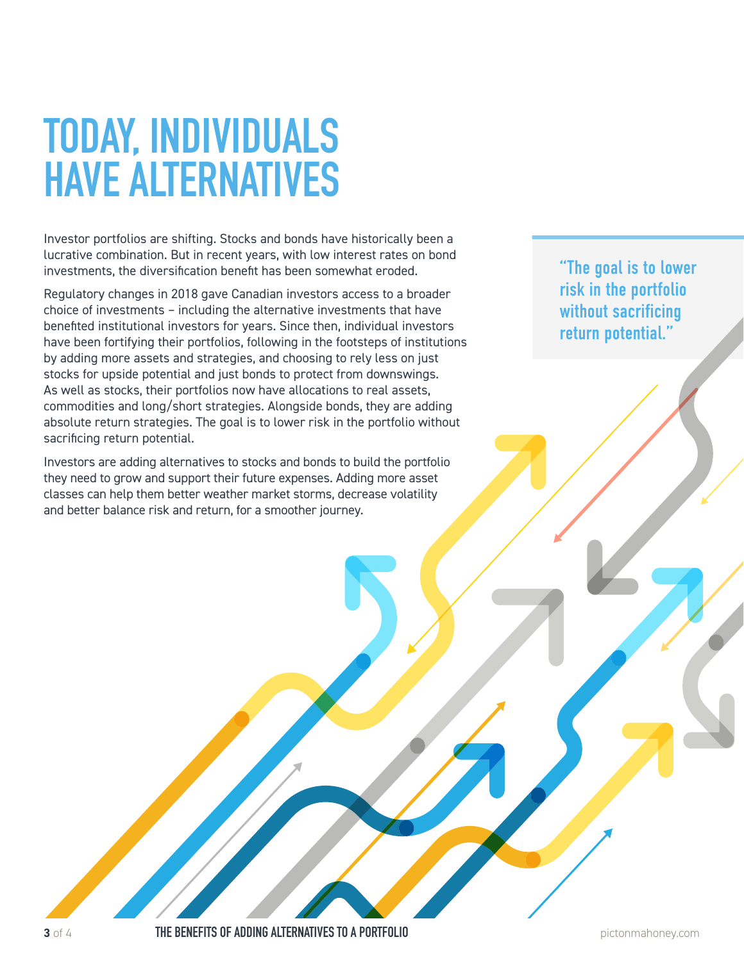## **TODAY, INDIVIDUALS HAVE ALTERNATIVES**

Investor portfolios are shifting. Stocks and bonds have historically been a lucrative combination. But in recent years, with low interest rates on bond investments, the diversification benefit has been somewhat eroded.

Regulatory changes in 2018 gave Canadian investors access to a broader choice of investments – including the alternative investments that have benefited institutional investors for years. Since then, individual investors have been fortifying their portfolios, following in the footsteps of institutions by adding more assets and strategies, and choosing to rely less on just stocks for upside potential and just bonds to protect from downswings. As well as stocks, their portfolios now have allocations to real assets, commodities and long/short strategies. Alongside bonds, they are adding absolute return strategies. The goal is to lower risk in the portfolio without sacrificing return potential.

Investors are adding alternatives to stocks and bonds to build the portfolio they need to grow and support their future expenses. Adding more asset classes can help them better weather market storms, decrease volatility and better balance risk and return, for a smoother journey.

"The goal is to lower risk in the portfolio without sacrificing return potential."